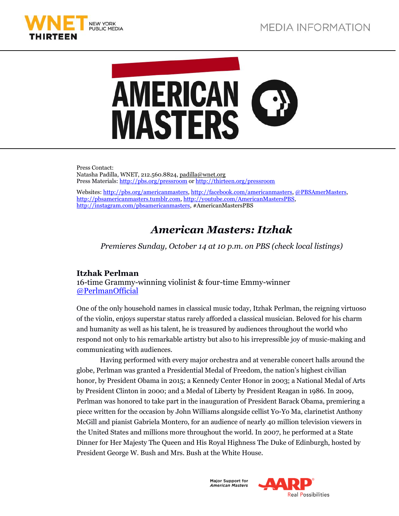



Press Contact: Natasha Padilla, WNET, 212.560.8824, [padilla@wnet.org](mailto:padilla@wnet.org) Press Materials[: http://pbs.org/pressroom](http://www.pbs.org/pressroom) o[r http://thirteen.org/pressroom](http://www.thirteen.org/pressroom)

Websites[: http://pbs.org/americanmasters,](http://www.pbs.org/americanmasters) [http://facebook.com/americanmasters,](http://www.facebook.com/americanmasters) [@PBSAmerMasters,](http://twitter.com/pbsamermasters) [http://pbsamericanmasters.tumblr.com,](http://pbsamericanmasters.tumblr.com/) [http://youtube.com/AmericanMastersPBS,](http://youtube.com/AmericanMastersPBS) [http://instagram.com/pbsamericanmasters,](http://instagram.com/pbsamericanmasters) #AmericanMastersPBS

# *American Masters: Itzhak*

*Premieres Sunday, October 14 at 10 p.m. on PBS (check local listings)*

## **Itzhak Perlman**

16-time Grammy-winning violinist & four-time Emmy-winner [@PerlmanOfficial](https://twitter.com/PerlmanOfficial)

One of the only household names in classical music today, Itzhak Perlman, the reigning virtuoso of the violin, enjoys superstar status rarely afforded a classical musician. Beloved for his charm and humanity as well as his talent, he is treasured by audiences throughout the world who respond not only to his remarkable artistry but also to his irrepressible joy of music-making and communicating with audiences.

Having performed with every major orchestra and at venerable concert halls around the globe, Perlman was granted a Presidential Medal of Freedom, the nation's highest civilian honor, by President Obama in 2015; a Kennedy Center Honor in 2003; a National Medal of Arts by President Clinton in 2000; and a Medal of Liberty by President Reagan in 1986. In 2009, Perlman was honored to take part in the inauguration of President Barack Obama, premiering a piece written for the occasion by John Williams alongside cellist Yo-Yo Ma, clarinetist Anthony McGill and pianist Gabriela Montero, for an audience of nearly 40 million television viewers in the United States and millions more throughout the world. In 2007, he performed at a State Dinner for Her Majesty The Queen and His Royal Highness The Duke of Edinburgh, hosted by President George W. Bush and Mrs. Bush at the White House.

> **Maior Support for American Masters**

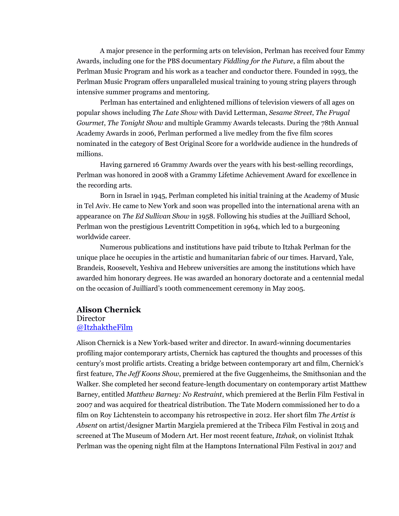A major presence in the performing arts on television, Perlman has received four Emmy Awards, including one for the PBS documentary *Fiddling for the Future*, a film about the Perlman Music Program and his work as a teacher and conductor there. Founded in 1993, the Perlman Music Program offers unparalleled musical training to young string players through intensive summer programs and mentoring.

Perlman has entertained and enlightened millions of television viewers of all ages on popular shows including *The Late Show* with David Letterman, *Sesame Street*, *The Frugal Gourmet*, *The Tonight Show* and multiple Grammy Awards telecasts. During the 78th Annual Academy Awards in 2006, Perlman performed a live medley from the five film scores nominated in the category of Best Original Score for a worldwide audience in the hundreds of millions.

Having garnered 16 Grammy Awards over the years with his best-selling recordings, Perlman was honored in 2008 with a Grammy Lifetime Achievement Award for excellence in the recording arts.

Born in Israel in 1945, Perlman completed his initial training at the Academy of Music in Tel Aviv. He came to New York and soon was propelled into the international arena with an appearance on *The Ed Sullivan Show* in 1958. Following his studies at the Juilliard School, Perlman won the prestigious Leventritt Competition in 1964, which led to a burgeoning worldwide career.

Numerous publications and institutions have paid tribute to Itzhak Perlman for the unique place he occupies in the artistic and humanitarian fabric of our times. Harvard, Yale, Brandeis, Roosevelt, Yeshiva and Hebrew universities are among the institutions which have awarded him honorary degrees. He was awarded an honorary doctorate and a centennial medal on the occasion of Juilliard's 100th commencement ceremony in May 2005.

#### **Alison Chernick**

### **Director** [@ItzhaktheFilm](https://twitter.com/ItzhaktheFilm)

Alison Chernick is a New York-based writer and director. In award-winning documentaries profiling major contemporary artists, Chernick has captured the thoughts and processes of this century's most prolific artists. Creating a bridge between contemporary art and film, Chernick's first feature, *The Jeff Koons Show*, premiered at the five Guggenheims, the Smithsonian and the Walker. She completed her second feature-length documentary on contemporary artist Matthew Barney, entitled *Matthew Barney: No Restraint*, which premiered at the Berlin Film Festival in 2007 and was acquired for theatrical distribution. The Tate Modern commissioned her to do a film on Roy Lichtenstein to accompany his retrospective in 2012. Her short film *The Artist is Absent* on artist/designer Martin Margiela premiered at the Tribeca Film Festival in 2015 and screened at The Museum of Modern Art. Her most recent feature, *Itzhak*, on violinist Itzhak Perlman was the opening night film at the Hamptons International Film Festival in 2017 and